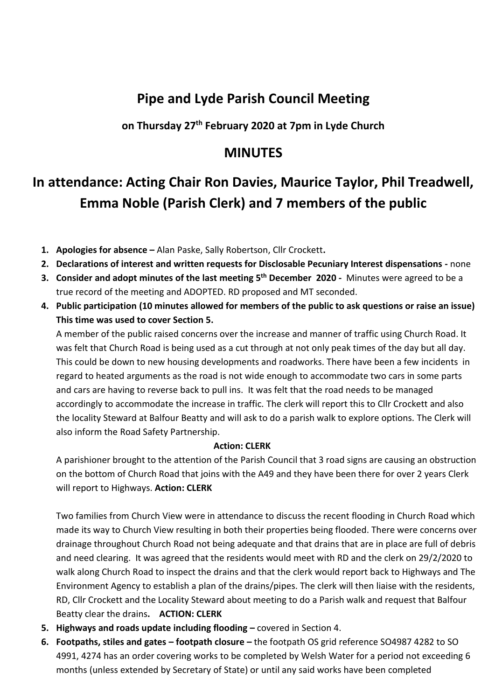## **Pipe and Lyde Parish Council Meeting**

**on Thursday 27th February 2020 at 7pm in Lyde Church**

### **MINUTES**

# **In attendance: Acting Chair Ron Davies, Maurice Taylor, Phil Treadwell, Emma Noble (Parish Clerk) and 7 members of the public**

- **1. Apologies for absence –** Alan Paske, Sally Robertson, Cllr Crockett**.**
- **2. Declarations of interest and written requests for Disclosable Pecuniary Interest dispensations -** none
- **3. Consider and adopt minutes of the last meeting 5 th December 2020** Minutes were agreed to be a true record of the meeting and ADOPTED. RD proposed and MT seconded.
- **4. Public participation (10 minutes allowed for members of the public to ask questions or raise an issue) This time was used to cover Section 5.**

A member of the public raised concerns over the increase and manner of traffic using Church Road. It was felt that Church Road is being used as a cut through at not only peak times of the day but all day. This could be down to new housing developments and roadworks. There have been a few incidents in regard to heated arguments as the road is not wide enough to accommodate two cars in some parts and cars are having to reverse back to pull ins. It was felt that the road needs to be managed accordingly to accommodate the increase in traffic. The clerk will report this to Cllr Crockett and also the locality Steward at Balfour Beatty and will ask to do a parish walk to explore options. The Clerk will also inform the Road Safety Partnership.

#### **Action: CLERK**

A parishioner brought to the attention of the Parish Council that 3 road signs are causing an obstruction on the bottom of Church Road that joins with the A49 and they have been there for over 2 years Clerk will report to Highways. **Action: CLERK**

Two families from Church View were in attendance to discuss the recent flooding in Church Road which made its way to Church View resulting in both their properties being flooded. There were concerns over drainage throughout Church Road not being adequate and that drains that are in place are full of debris and need clearing. It was agreed that the residents would meet with RD and the clerk on 29/2/2020 to walk along Church Road to inspect the drains and that the clerk would report back to Highways and The Environment Agency to establish a plan of the drains/pipes. The clerk will then liaise with the residents, RD, Cllr Crockett and the Locality Steward about meeting to do a Parish walk and request that Balfour Beatty clear the drains**. ACTION: CLERK**

- **5. Highways and roads update including flooding –** covered in Section 4.
- **6. Footpaths, stiles and gates – footpath closure –** the footpath OS grid reference SO4987 4282 to SO 4991, 4274 has an order covering works to be completed by Welsh Water for a period not exceeding 6 months (unless extended by Secretary of State) or until any said works have been completed